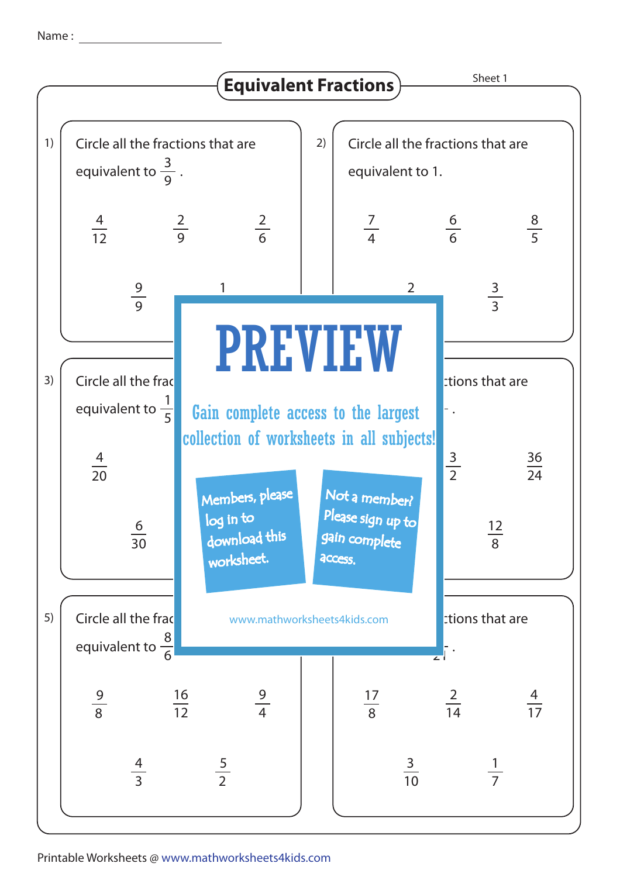Name :